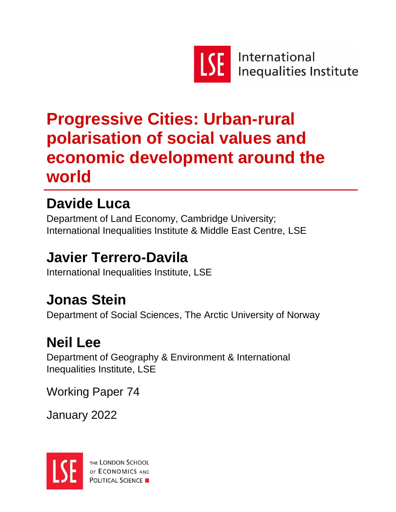

International **Inequalities Institute** 

# **Progressive Cities: Urban-rural polarisation of social values and economic development around the world**

# **Davide Luca**

Department of Land Economy, Cambridge University; International Inequalities Institute & Middle East Centre, LSE

# **Javier Terrero-Davila**

International Inequalities Institute, LSE

# **Jonas Stein**

Department of Social Sciences, The Arctic University of Norway

# **Neil Lee**

Department of Geography & Environment & International Inequalities Institute, LSE

Working Paper 74

January 2022



THE LONDON SCHOOL OF ECONOMICS AND **POLITICAL SCIENCE**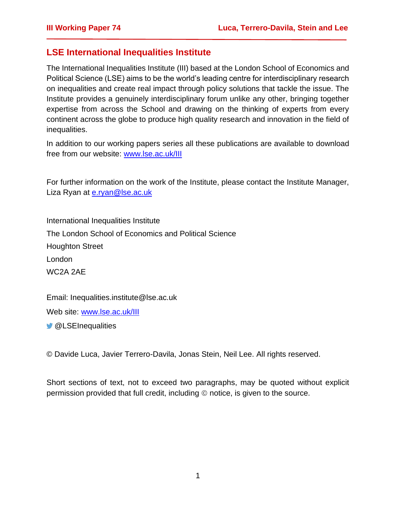## **LSE International Inequalities Institute**

The International Inequalities Institute (III) based at the London School of Economics and Political Science (LSE) aims to be the world's leading centre for interdisciplinary research on inequalities and create real impact through policy solutions that tackle the issue. The Institute provides a genuinely interdisciplinary forum unlike any other, bringing together expertise from across the School and drawing on the thinking of experts from every continent across the globe to produce high quality research and innovation in the field of inequalities.

In addition to our working papers series all these publications are available to download free from our website: [www.lse.ac.uk/III](http://www.lse.ac.uk/III)

For further information on the work of the Institute, please contact the Institute Manager, Liza Ryan at [e.ryan@lse.ac.uk](mailto:e.ryan@lse.ac.uk)

International Inequalities Institute The London School of Economics and Political Science Houghton Street London WC2A 2AE

Email: Inequalities.institute@lse.ac.uk

Web site: [www.lse.ac.uk/III](http://www.lse.ac.uk/III)

**W** @LSEInequalities

© Davide Luca, Javier Terrero-Davila, Jonas Stein, Neil Lee. All rights reserved.

Short sections of text, not to exceed two paragraphs, may be quoted without explicit permission provided that full credit, including © notice, is given to the source.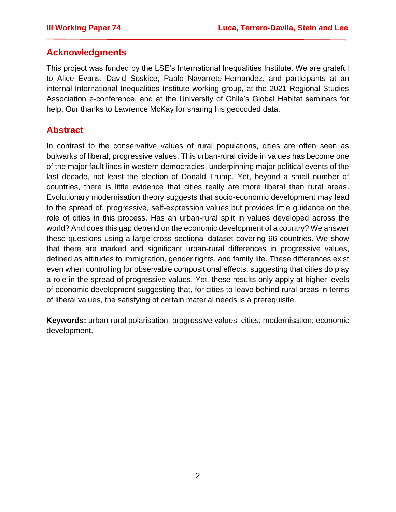# **Acknowledgments**

This project was funded by the LSE's International Inequalities Institute. We are grateful to Alice Evans, David Soskice, Pablo Navarrete-Hernandez, and participants at an internal International Inequalities Institute working group, at the 2021 Regional Studies Association e-conference, and at the University of Chile's Global Habitat seminars for help. Our thanks to Lawrence McKay for sharing his geocoded data.

## **Abstract**

In contrast to the conservative values of rural populations, cities are often seen as bulwarks of liberal, progressive values. This urban-rural divide in values has become one of the major fault lines in western democracies, underpinning major political events of the last decade, not least the election of Donald Trump. Yet, beyond a small number of countries, there is little evidence that cities really are more liberal than rural areas. Evolutionary modernisation theory suggests that socio-economic development may lead to the spread of, progressive, self-expression values but provides little guidance on the role of cities in this process. Has an urban-rural split in values developed across the world? And does this gap depend on the economic development of a country? We answer these questions using a large cross-sectional dataset covering 66 countries. We show that there are marked and significant urban-rural differences in progressive values, defined as attitudes to immigration, gender rights, and family life. These differences exist even when controlling for observable compositional effects, suggesting that cities do play a role in the spread of progressive values. Yet, these results only apply at higher levels of economic development suggesting that, for cities to leave behind rural areas in terms of liberal values, the satisfying of certain material needs is a prerequisite.

**Keywords:** urban-rural polarisation; progressive values; cities; modernisation; economic development.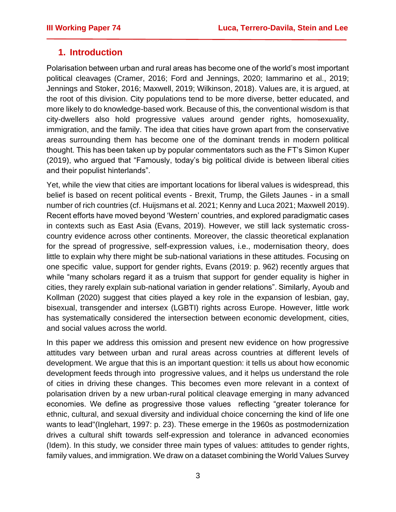#### **1. Introduction**

Polarisation between urban and rural areas has become one of the world's most important political cleavages (Cramer, 2016; Ford and Jennings, 2020; Iammarino et al., 2019; Jennings and Stoker, 2016; Maxwell, 2019; Wilkinson, 2018). Values are, it is argued, at the root of this division. City populations tend to be more diverse, better educated, and more likely to do knowledge-based work. Because of this, the conventional wisdom is that city-dwellers also hold progressive values around gender rights, homosexuality, immigration, and the family. The idea that cities have grown apart from the conservative areas surrounding them has become one of the dominant trends in modern political thought. This has been taken up by popular commentators such as the FT's Simon Kuper (2019), who argued that "Famously, today's big political divide is between liberal cities and their populist hinterlands".

Yet, while the view that cities are important locations for liberal values is widespread, this belief is based on recent political events - Brexit, Trump, the Gilets Jaunes - in a small number of rich countries (cf. Huijsmans et al. 2021; Kenny and Luca 2021; Maxwell 2019). Recent efforts have moved beyond 'Western' countries, and explored paradigmatic cases in contexts such as East Asia (Evans, 2019). However, we still lack systematic crosscountry evidence across other continents. Moreover, the classic theoretical explanation for the spread of progressive, self-expression values, i.e., modernisation theory, does little to explain why there might be sub-national variations in these attitudes. Focusing on one specific value, support for gender rights, Evans (2019: p. 962) recently argues that while "many scholars regard it as a truism that support for gender equality is higher in cities, they rarely explain sub-national variation in gender relations". Similarly, Ayoub and Kollman (2020) suggest that cities played a key role in the expansion of lesbian, gay, bisexual, transgender and intersex (LGBTI) rights across Europe. However, little work has systematically considered the intersection between economic development, cities, and social values across the world.

In this paper we address this omission and present new evidence on how progressive attitudes vary between urban and rural areas across countries at different levels of development. We argue that this is an important question: it tells us about how economic development feeds through into progressive values, and it helps us understand the role of cities in driving these changes. This becomes even more relevant in a context of polarisation driven by a new urban-rural political cleavage emerging in many advanced economies. We define as progressive those values reflecting "greater tolerance for ethnic, cultural, and sexual diversity and individual choice concerning the kind of life one wants to lead"(Inglehart, 1997: p. 23). These emerge in the 1960s as postmodernization drives a cultural shift towards self-expression and tolerance in advanced economies (Idem). In this study, we consider three main types of values: attitudes to gender rights, family values, and immigration. We draw on a dataset combining the World Values Survey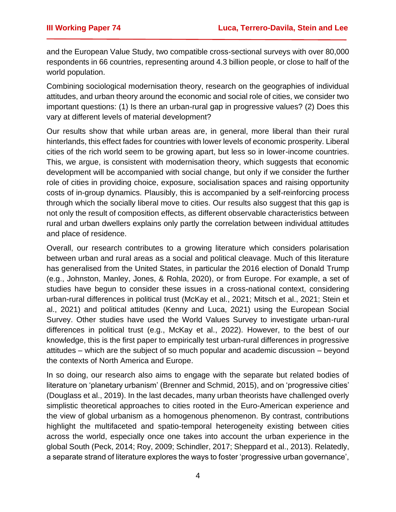and the European Value Study, two compatible cross-sectional surveys with over 80,000 respondents in 66 countries, representing around 4.3 billion people, or close to half of the world population.

Combining sociological modernisation theory, research on the geographies of individual attitudes, and urban theory around the economic and social role of cities, we consider two important questions: (1) Is there an urban-rural gap in progressive values? (2) Does this vary at different levels of material development?

Our results show that while urban areas are, in general, more liberal than their rural hinterlands, this effect fades for countries with lower levels of economic prosperity. Liberal cities of the rich world seem to be growing apart, but less so in lower-income countries. This, we argue, is consistent with modernisation theory, which suggests that economic development will be accompanied with social change, but only if we consider the further role of cities in providing choice, exposure, socialisation spaces and raising opportunity costs of in-group dynamics. Plausibly, this is accompanied by a self-reinforcing process through which the socially liberal move to cities. Our results also suggest that this gap is not only the result of composition effects, as different observable characteristics between rural and urban dwellers explains only partly the correlation between individual attitudes and place of residence.

Overall, our research contributes to a growing literature which considers polarisation between urban and rural areas as a social and political cleavage. Much of this literature has generalised from the United States, in particular the 2016 election of Donald Trump (e.g., Johnston, Manley, Jones, & Rohla, 2020), or from Europe. For example, a set of studies have begun to consider these issues in a cross-national context, considering urban-rural differences in political trust (McKay et al., 2021; Mitsch et al., 2021; Stein et al., 2021) and political attitudes (Kenny and Luca, 2021) using the European Social Survey. Other studies have used the World Values Survey to investigate urban-rural differences in political trust (e.g., McKay et al., 2022). However, to the best of our knowledge, this is the first paper to empirically test urban-rural differences in progressive attitudes – which are the subject of so much popular and academic discussion – beyond the contexts of North America and Europe.

In so doing, our research also aims to engage with the separate but related bodies of literature on 'planetary urbanism' (Brenner and Schmid, 2015), and on 'progressive cities' (Douglass et al., 2019). In the last decades, many urban theorists have challenged overly simplistic theoretical approaches to cities rooted in the Euro-American experience and the view of global urbanism as a homogenous phenomenon. By contrast, contributions highlight the multifaceted and spatio-temporal heterogeneity existing between cities across the world, especially once one takes into account the urban experience in the global South (Peck, 2014; Roy, 2009; Schindler, 2017; Sheppard et al., 2013). Relatedly, a separate strand of literature explores the ways to foster 'progressive urban governance',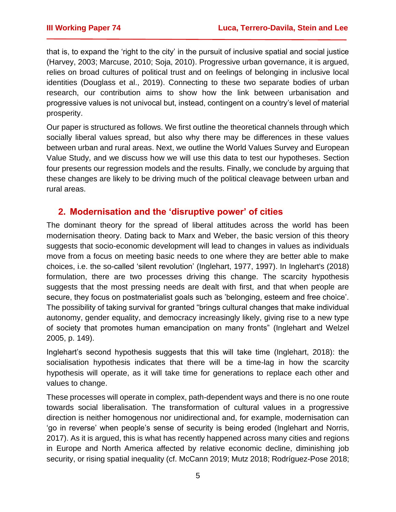that is, to expand the 'right to the city' in the pursuit of inclusive spatial and social justice (Harvey, 2003; Marcuse, 2010; Soja, 2010). Progressive urban governance, it is argued, relies on broad cultures of political trust and on feelings of belonging in inclusive local identities (Douglass et al., 2019). Connecting to these two separate bodies of urban research, our contribution aims to show how the link between urbanisation and progressive values is not univocal but, instead, contingent on a country's level of material prosperity.

Our paper is structured as follows. We first outline the theoretical channels through which socially liberal values spread, but also why there may be differences in these values between urban and rural areas. Next, we outline the World Values Survey and European Value Study, and we discuss how we will use this data to test our hypotheses. Section four presents our regression models and the results. Finally, we conclude by arguing that these changes are likely to be driving much of the political cleavage between urban and rural areas.

#### **2. Modernisation and the 'disruptive power' of cities**

The dominant theory for the spread of liberal attitudes across the world has been modernisation theory. Dating back to Marx and Weber, the basic version of this theory suggests that socio-economic development will lead to changes in values as individuals move from a focus on meeting basic needs to one where they are better able to make choices, i.e. the so-called 'silent revolution' (Inglehart, 1977, 1997). In Inglehart's (2018) formulation, there are two processes driving this change. The scarcity hypothesis suggests that the most pressing needs are dealt with first, and that when people are secure, they focus on postmaterialist goals such as 'belonging, esteem and free choice'. The possibility of taking survival for granted "brings cultural changes that make individual autonomy, gender equality, and democracy increasingly likely, giving rise to a new type of society that promotes human emancipation on many fronts" (Inglehart and Welzel 2005, p. 149).

Inglehart's second hypothesis suggests that this will take time (Inglehart, 2018): the socialisation hypothesis indicates that there will be a time-lag in how the scarcity hypothesis will operate, as it will take time for generations to replace each other and values to change.

These processes will operate in complex, path-dependent ways and there is no one route towards social liberalisation. The transformation of cultural values in a progressive direction is neither homogenous nor unidirectional and, for example, modernisation can 'go in reverse' when people's sense of security is being eroded (Inglehart and Norris, 2017). As it is argued, this is what has recently happened across many cities and regions in Europe and North America affected by relative economic decline, diminishing job security, or rising spatial inequality (cf. McCann 2019; Mutz 2018; Rodríguez-Pose 2018;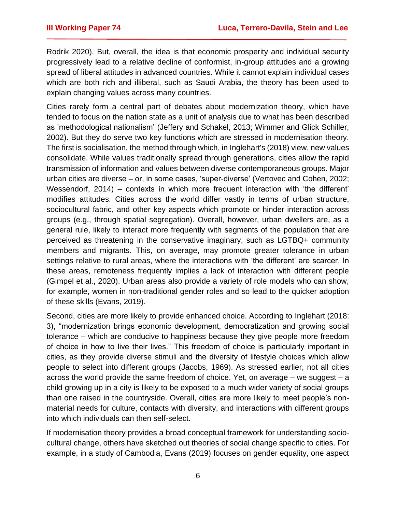Rodrik 2020). But, overall, the idea is that economic prosperity and individual security progressively lead to a relative decline of conformist, in-group attitudes and a growing spread of liberal attitudes in advanced countries. While it cannot explain individual cases which are both rich and illiberal, such as Saudi Arabia, the theory has been used to explain changing values across many countries.

Cities rarely form a central part of debates about modernization theory, which have tended to focus on the nation state as a unit of analysis due to what has been described as 'methodological nationalism' (Jeffery and Schakel, 2013; Wimmer and Glick Schiller, 2002). But they do serve two key functions which are stressed in modernisation theory. The first is socialisation, the method through which, in Inglehart's (2018) view, new values consolidate. While values traditionally spread through generations, cities allow the rapid transmission of information and values between diverse contemporaneous groups. Major urban cities are diverse – or, in some cases, 'super-diverse' (Vertovec and Cohen, 2002; Wessendorf, 2014) – contexts in which more frequent interaction with 'the different' modifies attitudes. Cities across the world differ vastly in terms of urban structure, sociocultural fabric, and other key aspects which promote or hinder interaction across groups (e.g., through spatial segregation). Overall, however, urban dwellers are, as a general rule, likely to interact more frequently with segments of the population that are perceived as threatening in the conservative imaginary, such as LGTBQ+ community members and migrants. This, on average, may promote greater tolerance in urban settings relative to rural areas, where the interactions with 'the different' are scarcer. In these areas, remoteness frequently implies a lack of interaction with different people (Gimpel et al., 2020). Urban areas also provide a variety of role models who can show, for example, women in non-traditional gender roles and so lead to the quicker adoption of these skills (Evans, 2019).

Second, cities are more likely to provide enhanced choice. According to Inglehart (2018: 3), "modernization brings economic development, democratization and growing social tolerance – which are conducive to happiness because they give people more freedom of choice in how to live their lives." This freedom of choice is particularly important in cities, as they provide diverse stimuli and the diversity of lifestyle choices which allow people to select into different groups (Jacobs, 1969). As stressed earlier, not all cities across the world provide the same freedom of choice. Yet, on average – we suggest – a child growing up in a city is likely to be exposed to a much wider variety of social groups than one raised in the countryside. Overall, cities are more likely to meet people's nonmaterial needs for culture, contacts with diversity, and interactions with different groups into which individuals can then self-select.

If modernisation theory provides a broad conceptual framework for understanding sociocultural change, others have sketched out theories of social change specific to cities. For example, in a study of Cambodia, Evans (2019) focuses on gender equality, one aspect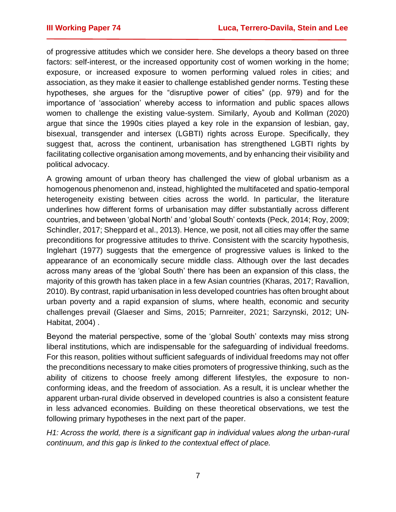of progressive attitudes which we consider here. She develops a theory based on three factors: self-interest, or the increased opportunity cost of women working in the home; exposure, or increased exposure to women performing valued roles in cities; and association, as they make it easier to challenge established gender norms. Testing these hypotheses, she argues for the "disruptive power of cities" (pp. 979) and for the importance of 'association' whereby access to information and public spaces allows women to challenge the existing value-system. Similarly, Ayoub and Kollman (2020) argue that since the 1990s cities played a key role in the expansion of lesbian, gay, bisexual, transgender and intersex (LGBTI) rights across Europe. Specifically, they suggest that, across the continent, urbanisation has strengthened LGBTI rights by facilitating collective organisation among movements, and by enhancing their visibility and political advocacy.

A growing amount of urban theory has challenged the view of global urbanism as a homogenous phenomenon and, instead, highlighted the multifaceted and spatio-temporal heterogeneity existing between cities across the world. In particular, the literature underlines how different forms of urbanisation may differ substantially across different countries, and between 'global North' and 'global South' contexts (Peck, 2014; Roy, 2009; Schindler, 2017; Sheppard et al., 2013). Hence, we posit, not all cities may offer the same preconditions for progressive attitudes to thrive. Consistent with the scarcity hypothesis, Inglehart (1977) suggests that the emergence of progressive values is linked to the appearance of an economically secure middle class. Although over the last decades across many areas of the 'global South' there has been an expansion of this class, the majority of this growth has taken place in a few Asian countries (Kharas, 2017; Ravallion, 2010). By contrast, rapid urbanisation in less developed countries has often brought about urban poverty and a rapid expansion of slums, where health, economic and security challenges prevail (Glaeser and Sims, 2015; Parnreiter, 2021; Sarzynski, 2012; UN‐ Habitat, 2004) .

Beyond the material perspective, some of the 'global South' contexts may miss strong liberal institutions, which are indispensable for the safeguarding of individual freedoms. For this reason, polities without sufficient safeguards of individual freedoms may not offer the preconditions necessary to make cities promoters of progressive thinking, such as the ability of citizens to choose freely among different lifestyles, the exposure to nonconforming ideas, and the freedom of association. As a result, it is unclear whether the apparent urban-rural divide observed in developed countries is also a consistent feature in less advanced economies. Building on these theoretical observations, we test the following primary hypotheses in the next part of the paper.

*H1: Across the world, there is a significant gap in individual values along the urban-rural continuum, and this gap is linked to the contextual effect of place.*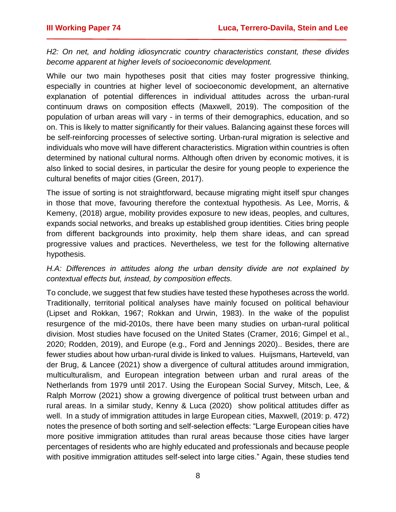*H2: On net, and holding idiosyncratic country characteristics constant, these divides become apparent at higher levels of socioeconomic development.*

While our two main hypotheses posit that cities may foster progressive thinking, especially in countries at higher level of socioeconomic development, an alternative explanation of potential differences in individual attitudes across the urban-rural continuum draws on composition effects (Maxwell, 2019). The composition of the population of urban areas will vary - in terms of their demographics, education, and so on. This is likely to matter significantly for their values. Balancing against these forces will be self-reinforcing processes of selective sorting. Urban-rural migration is selective and individuals who move will have different characteristics. Migration within countries is often determined by national cultural norms. Although often driven by economic motives, it is also linked to social desires, in particular the desire for young people to experience the cultural benefits of major cities (Green, 2017).

The issue of sorting is not straightforward, because migrating might itself spur changes in those that move, favouring therefore the contextual hypothesis. As Lee, Morris, & Kemeny, (2018) argue, mobility provides exposure to new ideas, peoples, and cultures, expands social networks, and breaks up established group identities. Cities bring people from different backgrounds into proximity, help them share ideas, and can spread progressive values and practices. Nevertheless, we test for the following alternative hypothesis.

#### *H.A: Differences in attitudes along the urban density divide are not explained by contextual effects but, instead, by composition effects.*

To conclude, we suggest that few studies have tested these hypotheses across the world. Traditionally, territorial political analyses have mainly focused on political behaviour (Lipset and Rokkan, 1967; Rokkan and Urwin, 1983). In the wake of the populist resurgence of the mid-2010s, there have been many studies on urban-rural political division. Most studies have focused on the United States (Cramer, 2016; Gimpel et al., 2020; Rodden, 2019), and Europe (e.g., Ford and Jennings 2020).. Besides, there are fewer studies about how urban-rural divide is linked to values. Huijsmans, Harteveld, van der Brug, & Lancee (2021) show a divergence of cultural attitudes around immigration, multiculturalism, and European integration between urban and rural areas of the Netherlands from 1979 until 2017. Using the European Social Survey, Mitsch, Lee, & Ralph Morrow (2021) show a growing divergence of political trust between urban and rural areas. In a similar study, Kenny & Luca (2020) show political attitudes differ as well. In a study of immigration attitudes in large European cities, Maxwell, (2019: p. 472) notes the presence of both sorting and self-selection effects: "Large European cities have more positive immigration attitudes than rural areas because those cities have larger percentages of residents who are highly educated and professionals and because people with positive immigration attitudes self-select into large cities." Again, these studies tend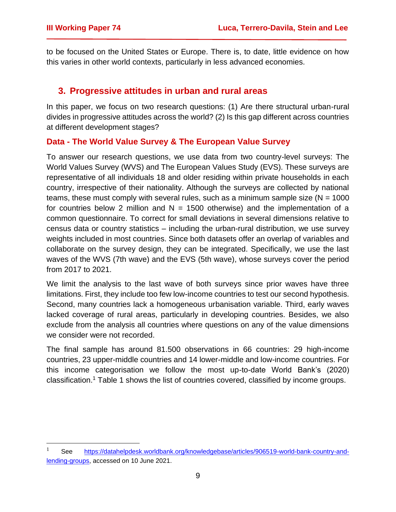to be focused on the United States or Europe. There is, to date, little evidence on how this varies in other world contexts, particularly in less advanced economies.

## **3. Progressive attitudes in urban and rural areas**

In this paper, we focus on two research questions: (1) Are there structural urban-rural divides in progressive attitudes across the world? (2) Is this gap different across countries at different development stages?

#### **Data - The World Value Survey & The European Value Survey**

To answer our research questions, we use data from two country-level surveys: The World Values Survey (WVS) and The European Values Study (EVS). These surveys are representative of all individuals 18 and older residing within private households in each country, irrespective of their nationality. Although the surveys are collected by national teams, these must comply with several rules, such as a minimum sample size  $(N = 1000$ for countries below 2 million and  $N = 1500$  otherwise) and the implementation of a common questionnaire. To correct for small deviations in several dimensions relative to census data or country statistics – including the urban-rural distribution, we use survey weights included in most countries. Since both datasets offer an overlap of variables and collaborate on the survey design, they can be integrated. Specifically, we use the last waves of the WVS (7th wave) and the EVS (5th wave), whose surveys cover the period from 2017 to 2021.

We limit the analysis to the last wave of both surveys since prior waves have three limitations. First, they include too few low-income countries to test our second hypothesis. Second, many countries lack a homogeneous urbanisation variable. Third, early waves lacked coverage of rural areas, particularly in developing countries. Besides, we also exclude from the analysis all countries where questions on any of the value dimensions we consider were not recorded.

The final sample has around 81.500 observations in 66 countries: 29 high-income countries, 23 upper-middle countries and 14 lower-middle and low-income countries. For this income categorisation we follow the most up-to-date World Bank's (2020) classification.<sup>1</sup> Table 1 shows the list of countries covered, classified by income groups.

See [https://datahelpdesk.worldbank.org/knowledgebase/articles/906519-world-bank-country-and](https://datahelpdesk.worldbank.org/knowledgebase/articles/906519-world-bank-country-and-lending-groups)[lending-groups,](https://datahelpdesk.worldbank.org/knowledgebase/articles/906519-world-bank-country-and-lending-groups) accessed on 10 June 2021.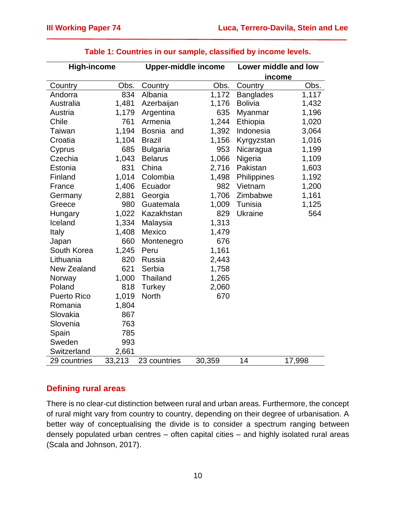| <b>High-income</b> |        | <b>Upper-middle income</b> |        | Lower middle and low |        |
|--------------------|--------|----------------------------|--------|----------------------|--------|
|                    |        |                            |        | <b>income</b>        |        |
| Country            | Obs.   | Country                    | Obs.   | Country              | Obs.   |
| Andorra            | 834    | Albania                    | 1,172  | <b>Banglades</b>     | 1,117  |
| Australia          | 1,481  | Azerbaijan                 | 1,176  | <b>Bolivia</b>       | 1,432  |
| Austria            | 1,179  | Argentina                  | 635    | Myanmar              | 1,196  |
| Chile              | 761    | Armenia                    | 1,244  | Ethiopia             | 1,020  |
| Taiwan             | 1,194  | Bosnia and                 | 1,392  | Indonesia            | 3,064  |
| Croatia            | 1,104  | <b>Brazil</b>              | 1,156  | Kyrgyzstan           | 1,016  |
| Cyprus             | 685    | <b>Bulgaria</b>            | 953    | Nicaragua            | 1,199  |
| Czechia            | 1,043  | <b>Belarus</b>             | 1,066  | Nigeria              | 1,109  |
| Estonia            | 831    | China                      | 2,716  | Pakistan             | 1,603  |
| Finland            | 1,014  | Colombia                   | 1,498  | Philippines          | 1,192  |
| France             | 1,406  | Ecuador                    | 982    | Vietnam              | 1,200  |
| Germany            | 2,881  | Georgia                    | 1,706  | Zimbabwe             | 1,161  |
| Greece             | 980    | Guatemala                  | 1,009  | Tunisia              | 1,125  |
| Hungary            | 1,022  | Kazakhstan                 | 829    | <b>Ukraine</b>       | 564    |
| Iceland            | 1,334  | Malaysia                   | 1,313  |                      |        |
| Italy              | 1,408  | Mexico                     | 1,479  |                      |        |
| Japan              | 660    | Montenegro                 | 676    |                      |        |
| South Korea        | 1,245  | Peru                       | 1,161  |                      |        |
| Lithuania          | 820    | Russia                     | 2,443  |                      |        |
| New Zealand        | 621    | Serbia                     | 1,758  |                      |        |
| Norway             | 1,000  | <b>Thailand</b>            | 1,265  |                      |        |
| Poland             | 818    | Turkey                     | 2,060  |                      |        |
| <b>Puerto Rico</b> | 1,019  | <b>North</b>               | 670    |                      |        |
| Romania            | 1,804  |                            |        |                      |        |
| Slovakia           | 867    |                            |        |                      |        |
| Slovenia           | 763    |                            |        |                      |        |
| Spain              | 785    |                            |        |                      |        |
| Sweden             | 993    |                            |        |                      |        |
| Switzerland        | 2,661  |                            |        |                      |        |
| 29 countries       | 33,213 | 23 countries               | 30,359 | 14                   | 17,998 |

#### **Table 1: Countries in our sample, classified by income levels.**

### **Defining rural areas**

There is no clear-cut distinction between rural and urban areas. Furthermore, the concept of rural might vary from country to country, depending on their degree of urbanisation. A better way of conceptualising the divide is to consider a spectrum ranging between densely populated urban centres – often capital cities – and highly isolated rural areas (Scala and Johnson, 2017).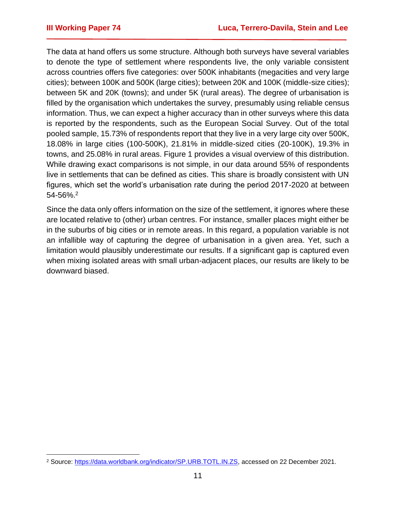The data at hand offers us some structure. Although both surveys have several variables to denote the type of settlement where respondents live, the only variable consistent across countries offers five categories: over 500K inhabitants (megacities and very large cities); between 100K and 500K (large cities); between 20K and 100K (middle-size cities); between 5K and 20K (towns); and under 5K (rural areas). The degree of urbanisation is filled by the organisation which undertakes the survey, presumably using reliable census information. Thus, we can expect a higher accuracy than in other surveys where this data is reported by the respondents, such as the European Social Survey. Out of the total pooled sample, 15.73% of respondents report that they live in a very large city over 500K, 18.08% in large cities (100-500K), 21.81% in middle-sized cities (20-100K), 19.3% in towns, and 25.08% in rural areas. Figure 1 provides a visual overview of this distribution. While drawing exact comparisons is not simple, in our data around 55% of respondents live in settlements that can be defined as cities. This share is broadly consistent with UN figures, which set the world's urbanisation rate during the period 2017-2020 at between 54-56%.<sup>2</sup>

Since the data only offers information on the size of the settlement, it ignores where these are located relative to (other) urban centres. For instance, smaller places might either be in the suburbs of big cities or in remote areas. In this regard, a population variable is not an infallible way of capturing the degree of urbanisation in a given area. Yet, such a limitation would plausibly underestimate our results. If a significant gap is captured even when mixing isolated areas with small urban-adjacent places, our results are likely to be downward biased.

<sup>2</sup> Source: [https://data.worldbank.org/indicator/SP.URB.TOTL.IN.ZS,](https://data.worldbank.org/indicator/SP.URB.TOTL.IN.ZS) accessed on 22 December 2021.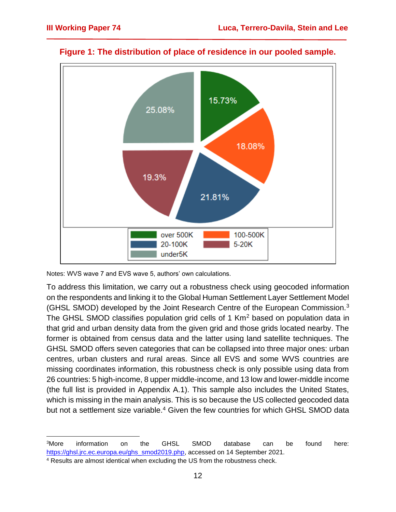

**Figure 1: The distribution of place of residence in our pooled sample.**

Notes: WVS wave 7 and EVS wave 5, authors' own calculations.

To address this limitation, we carry out a robustness check using geocoded information on the respondents and linking it to the Global Human Settlement Layer Settlement Model (GHSL SMOD) developed by the Joint Research Centre of the European Commission.<sup>3</sup> The GHSL SMOD classifies population grid cells of 1 Km<sup>2</sup> based on population data in that grid and urban density data from the given grid and those grids located nearby. The former is obtained from census data and the latter using land satellite techniques. The GHSL SMOD offers seven categories that can be collapsed into three major ones: urban centres, urban clusters and rural areas. Since all EVS and some WVS countries are missing coordinates information, this robustness check is only possible using data from 26 countries: 5 high-income, 8 upper middle-income, and 13 low and lower-middle income (the full list is provided in Appendix A.1). This sample also includes the United States, which is missing in the main analysis. This is so because the US collected geocoded data but not a settlement size variable.<sup>4</sup> Given the few countries for which GHSL SMOD data

<sup>3</sup>More information on the GHSL SMOD database can be found here: [https://ghsl.jrc.ec.europa.eu/ghs\\_smod2019.php,](https://ghsl.jrc.ec.europa.eu/ghs_smod2019.php) accessed on 14 September 2021.

<sup>4</sup> Results are almost identical when excluding the US from the robustness check.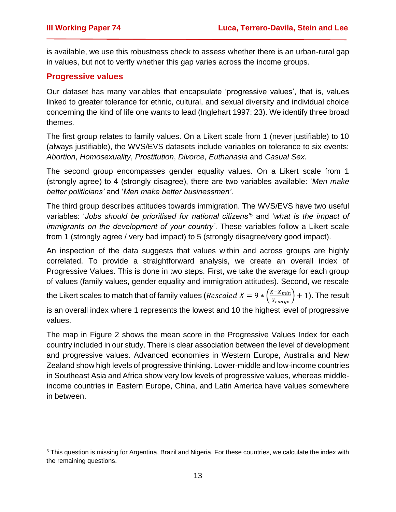is available, we use this robustness check to assess whether there is an urban-rural gap in values, but not to verify whether this gap varies across the income groups.

#### **Progressive values**

Our dataset has many variables that encapsulate 'progressive values', that is, values linked to greater tolerance for ethnic, cultural, and sexual diversity and individual choice concerning the kind of life one wants to lead (Inglehart 1997: 23). We identify three broad themes.

The first group relates to family values. On a Likert scale from 1 (never justifiable) to 10 (always justifiable), the WVS/EVS datasets include variables on tolerance to six events: *Abortion*, *Homosexuality*, *Prostitution*, *Divorce*, *Euthanasia* and *Casual Sex*.

The second group encompasses gender equality values. On a Likert scale from 1 (strongly agree) to 4 (strongly disagree), there are two variables available: '*Men make better politicians'* and '*Men make better businessmen'*.

The third group describes attitudes towards immigration. The WVS/EVS have two useful variables: '*Jobs should be prioritised for national citizens'<sup>5</sup>* and '*what is the impact of immigrants on the development of your country'*. These variables follow a Likert scale from 1 (strongly agree / very bad impact) to 5 (strongly disagree/very good impact).

An inspection of the data suggests that values within and across groups are highly correlated. To provide a straightforward analysis, we create an overall index of Progressive Values. This is done in two steps. First, we take the average for each group of values (family values, gender equality and immigration attitudes). Second, we rescale

the Likert scales to match that of family values ( $\textit{Rescaled X}=9*\left(\frac{X-X_{min}}{X_{range}}\right)+1$ ). The result

is an overall index where 1 represents the lowest and 10 the highest level of progressive values.

The map in Figure 2 shows the mean score in the Progressive Values Index for each country included in our study. There is clear association between the level of development and progressive values. Advanced economies in Western Europe, Australia and New Zealand show high levels of progressive thinking. Lower-middle and low-income countries in Southeast Asia and Africa show very low levels of progressive values, whereas middleincome countries in Eastern Europe, China, and Latin America have values somewhere in between.

<sup>5</sup> This question is missing for Argentina, Brazil and Nigeria. For these countries, we calculate the index with the remaining questions.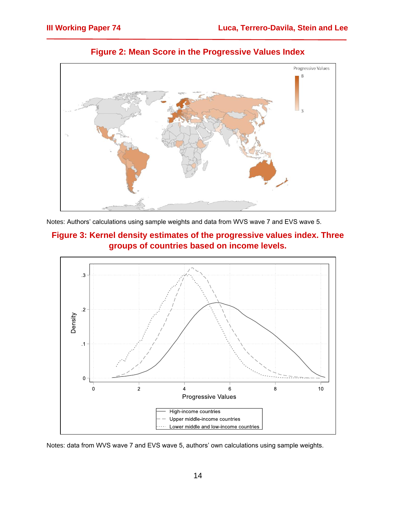

**Figure 2: Mean Score in the Progressive Values Index**

Notes: Authors' calculations using sample weights and data from WVS wave 7 and EVS wave 5.

# **Figure 3: Kernel density estimates of the progressive values index. Three groups of countries based on income levels.**



Notes: data from WVS wave 7 and EVS wave 5, authors' own calculations using sample weights.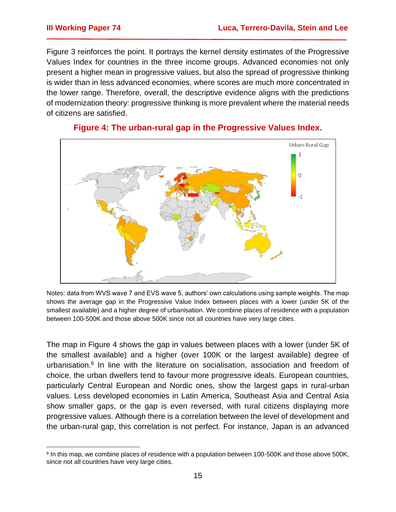Figure 3 reinforces the point. It portrays the kernel density estimates of the Progressive Values Index for countries in the three income groups. Advanced economies not only present a higher mean in progressive values, but also the spread of progressive thinking is wider than in less advanced economies, where scores are much more concentrated in the lower range. Therefore, overall, the descriptive evidence aligns with the predictions of modernization theory: progressive thinking is more prevalent where the material needs of citizens are satisfied.



#### **Figure 4: The urban-rural gap in the Progressive Values Index.**

Notes: data from WVS wave 7 and EVS wave 5, authors' own calculations using sample weights. The map shows the average gap in the Progressive Value Index between places with a lower (under 5K of the smallest available) and a higher degree of urbanisation. We combine places of residence with a population between 100-500K and those above 500K since not all countries have very large cities.

The map in Figure 4 shows the gap in values between places with a lower (under 5K of the smallest available) and a higher (over 100K or the largest available) degree of urbanisation.<sup>6</sup> In line with the literature on socialisation, association and freedom of choice, the urban dwellers tend to favour more progressive ideals. European countries, particularly Central European and Nordic ones, show the largest gaps in rural-urban values. Less developed economies in Latin America, Southeast Asia and Central Asia show smaller gaps, or the gap is even reversed, with rural citizens displaying more progressive values. Although there is a correlation between the level of development and the urban-rural gap, this correlation is not perfect. For instance, Japan is an advanced

<sup>&</sup>lt;sup>6</sup> In this map, we combine places of residence with a population between 100-500K and those above 500K, since not all countries have very large cities.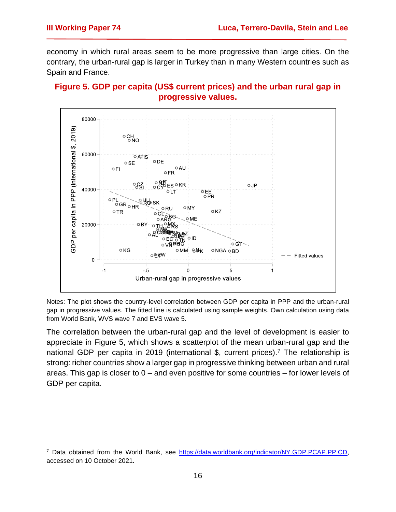economy in which rural areas seem to be more progressive than large cities. On the contrary, the urban-rural gap is larger in Turkey than in many Western countries such as Spain and France.

#### **Figure 5. GDP per capita (US\$ current prices) and the urban rural gap in progressive values.**



Notes: The plot shows the country-level correlation between GDP per capita in PPP and the urban-rural gap in progressive values. The fitted line is calculated using sample weights. Own calculation using data from World Bank, WVS wave 7 and EVS wave 5.

The correlation between the urban-rural gap and the level of development is easier to appreciate in Figure 5, which shows a scatterplot of the mean urban-rural gap and the national GDP per capita in 2019 (international  $\$ , current prices).<sup>7</sup> The relationship is strong: richer countries show a larger gap in progressive thinking between urban and rural areas. This gap is closer to 0 – and even positive for some countries – for lower levels of GDP per capita.

<sup>7</sup> Data obtained from the World Bank, see [https://data.worldbank.org/indicator/NY.GDP.PCAP.PP.CD,](https://data.worldbank.org/indicator/NY.GDP.PCAP.PP.CD) accessed on 10 October 2021.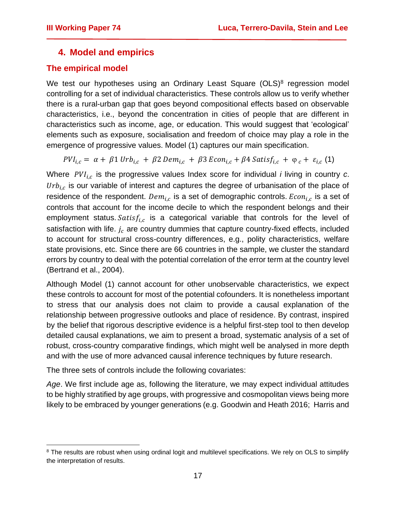# **4. Model and empirics**

#### **The empirical model**

We test our hypotheses using an Ordinary Least Square (OLS)<sup>8</sup> regression model controlling for a set of individual characteristics. These controls allow us to verify whether there is a rural-urban gap that goes beyond compositional effects based on observable characteristics, i.e., beyond the concentration in cities of people that are different in characteristics such as income, age, or education. This would suggest that 'ecological' elements such as exposure, socialisation and freedom of choice may play a role in the emergence of progressive values. Model (1) captures our main specification.

 $PVI_{i,c} = \alpha + \beta 1 Urb_{i,c} + \beta 2 Dem_{i,c} + \beta 3 Econ_{i,c} + \beta 4 Satisf_{i,c} + \varphi_c + \varepsilon_{i,c}$  (1)

Where  $PVI_{i,c}$  is the progressive values Index score for individual *i* living in country *c*.  $Urb_{i,c}$  is our variable of interest and captures the degree of urbanisation of the place of residence of the respondent.  $Dem_{i,c}$  is a set of demographic controls.  $Econ_{i,c}$  is a set of controls that account for the income decile to which the respondent belongs and their employment status Satis $f_{i,c}$  is a categorical variable that controls for the level of satisfaction with life.  $j_c$  are country dummies that capture country-fixed effects, included to account for structural cross-country differences, e.g., polity characteristics, welfare state provisions, etc. Since there are 66 countries in the sample, we cluster the standard errors by country to deal with the potential correlation of the error term at the country level (Bertrand et al., 2004).

Although Model (1) cannot account for other unobservable characteristics, we expect these controls to account for most of the potential cofounders. It is nonetheless important to stress that our analysis does not claim to provide a causal explanation of the relationship between progressive outlooks and place of residence. By contrast, inspired by the belief that rigorous descriptive evidence is a helpful first-step tool to then develop detailed causal explanations, we aim to present a broad, systematic analysis of a set of robust, cross-country comparative findings, which might well be analysed in more depth and with the use of more advanced causal inference techniques by future research.

The three sets of controls include the following covariates:

*Age*. We first include age as, following the literature, we may expect individual attitudes to be highly stratified by age groups, with progressive and cosmopolitan views being more likely to be embraced by younger generations (e.g. Goodwin and Heath 2016; Harris and

<sup>&</sup>lt;sup>8</sup> The results are robust when using ordinal logit and multilevel specifications. We rely on OLS to simplify the interpretation of results.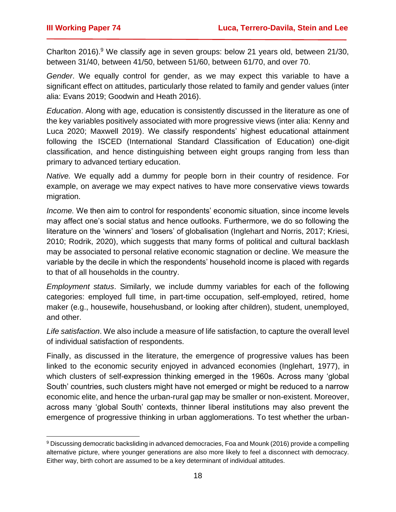Charlton 2016). <sup>9</sup> We classify age in seven groups: below 21 years old, between 21/30, between 31/40, between 41/50, between 51/60, between 61/70, and over 70.

*Gender*. We equally control for gender, as we may expect this variable to have a significant effect on attitudes, particularly those related to family and gender values (inter alia: Evans 2019; Goodwin and Heath 2016).

*Education*. Along with age, education is consistently discussed in the literature as one of the key variables positively associated with more progressive views (inter alia: Kenny and Luca 2020; Maxwell 2019). We classify respondents' highest educational attainment following the ISCED (International Standard Classification of Education) one-digit classification, and hence distinguishing between eight groups ranging from less than primary to advanced tertiary education.

*Native.* We equally add a dummy for people born in their country of residence. For example, on average we may expect natives to have more conservative views towards migration.

*Income.* We then aim to control for respondents' economic situation, since income levels may affect one's social status and hence outlooks. Furthermore, we do so following the literature on the 'winners' and 'losers' of globalisation (Inglehart and Norris, 2017; Kriesi, 2010; Rodrik, 2020), which suggests that many forms of political and cultural backlash may be associated to personal relative economic stagnation or decline. We measure the variable by the decile in which the respondents' household income is placed with regards to that of all households in the country.

*Employment status*. Similarly, we include dummy variables for each of the following categories: employed full time, in part-time occupation, self-employed, retired, home maker (e.g., housewife, househusband, or looking after children), student, unemployed, and other.

*Life satisfaction*. We also include a measure of life satisfaction, to capture the overall level of individual satisfaction of respondents.

Finally, as discussed in the literature, the emergence of progressive values has been linked to the economic security enjoyed in advanced economies (Inglehart, 1977), in which clusters of self-expression thinking emerged in the 1960s. Across many 'global South' countries, such clusters might have not emerged or might be reduced to a narrow economic elite, and hence the urban-rural gap may be smaller or non-existent. Moreover, across many 'global South' contexts, thinner liberal institutions may also prevent the emergence of progressive thinking in urban agglomerations. To test whether the urban-

<sup>9</sup> Discussing democratic backsliding in advanced democracies, Foa and Mounk (2016) provide a compelling alternative picture, where younger generations are also more likely to feel a disconnect with democracy. Either way, birth cohort are assumed to be a key determinant of individual attitudes.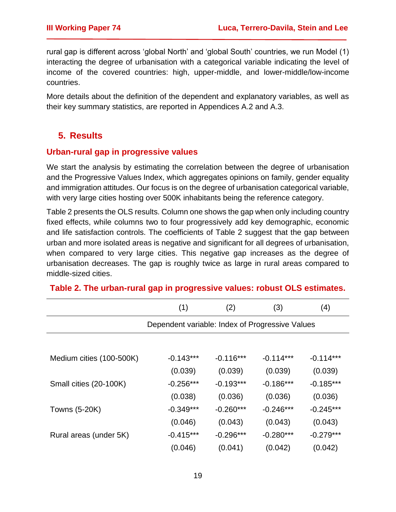rural gap is different across 'global North' and 'global South' countries, we run Model (1) interacting the degree of urbanisation with a categorical variable indicating the level of income of the covered countries: high, upper-middle, and lower-middle/low-income countries.

More details about the definition of the dependent and explanatory variables, as well as their key summary statistics, are reported in Appendices A.2 and A.3.

# **5. Results**

#### **Urban-rural gap in progressive values**

We start the analysis by estimating the correlation between the degree of urbanisation and the Progressive Values Index, which aggregates opinions on family, gender equality and immigration attitudes. Our focus is on the degree of urbanisation categorical variable, with very large cities hosting over 500K inhabitants being the reference category.

Table 2 presents the OLS results. Column one shows the gap when only including country fixed effects, while columns two to four progressively add key demographic, economic and life satisfaction controls. The coefficients of Table 2 suggest that the gap between urban and more isolated areas is negative and significant for all degrees of urbanisation, when compared to very large cities. This negative gap increases as the degree of urbanisation decreases. The gap is roughly twice as large in rural areas compared to middle-sized cities.

|                          | (1)                                             | (2)         | (3)         | (4)         |  |  |
|--------------------------|-------------------------------------------------|-------------|-------------|-------------|--|--|
|                          | Dependent variable: Index of Progressive Values |             |             |             |  |  |
|                          |                                                 |             |             |             |  |  |
| Medium cities (100-500K) | $-0.143***$                                     | $-0.116***$ | $-0.114***$ | $-0.114***$ |  |  |
|                          | (0.039)                                         | (0.039)     | (0.039)     | (0.039)     |  |  |
| Small cities (20-100K)   | $-0.256***$                                     | $-0.193***$ | $-0.186***$ | $-0.185***$ |  |  |
|                          | (0.038)                                         | (0.036)     | (0.036)     | (0.036)     |  |  |
| <b>Towns (5-20K)</b>     | $-0.349***$                                     | $-0.260***$ | $-0.246***$ | $-0.245***$ |  |  |
|                          | (0.046)                                         | (0.043)     | (0.043)     | (0.043)     |  |  |
| Rural areas (under 5K)   | $-0.415***$                                     | $-0.296***$ | $-0.280***$ | $-0.279***$ |  |  |
|                          | (0.046)                                         | (0.041)     | (0.042)     | (0.042)     |  |  |

#### **Table 2. The urban-rural gap in progressive values: robust OLS estimates.**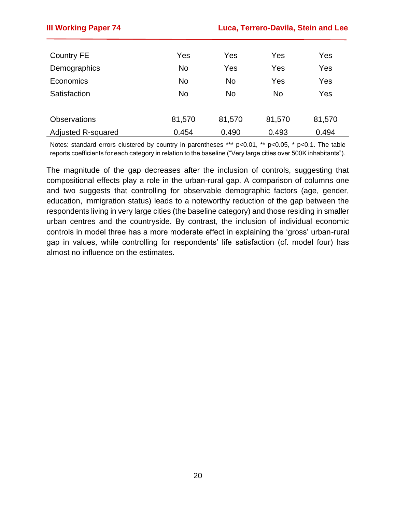| <b>Country FE</b>         | Yes       | Yes    | Yes    | Yes    |
|---------------------------|-----------|--------|--------|--------|
| Demographics              | <b>No</b> | Yes    | Yes    | Yes    |
| Economics                 | No        | No     | Yes    | Yes    |
| Satisfaction              | No        | No     | No     | Yes    |
|                           |           |        |        |        |
| <b>Observations</b>       | 81,570    | 81,570 | 81,570 | 81,570 |
| <b>Adjusted R-squared</b> | 0.454     | 0.490  | 0.493  | 0.494  |

Notes: standard errors clustered by country in parentheses \*\*\* p<0.01, \*\* p<0.05, \* p<0.1. The table reports coefficients for each category in relation to the baseline ("Very large cities over 500K inhabitants").

The magnitude of the gap decreases after the inclusion of controls, suggesting that compositional effects play a role in the urban-rural gap. A comparison of columns one and two suggests that controlling for observable demographic factors (age, gender, education, immigration status) leads to a noteworthy reduction of the gap between the respondents living in very large cities (the baseline category) and those residing in smaller urban centres and the countryside. By contrast, the inclusion of individual economic controls in model three has a more moderate effect in explaining the 'gross' urban-rural gap in values, while controlling for respondents' life satisfaction (cf. model four) has almost no influence on the estimates.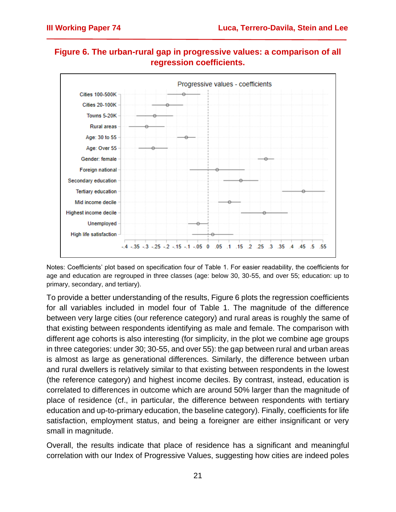

## **Figure 6. The urban-rural gap in progressive values: a comparison of all regression coefficients.**

Notes: Coefficients' plot based on specification four of Table 1. For easier readability, the coefficients for age and education are regrouped in three classes (age: below 30, 30-55, and over 55; education: up to primary, secondary, and tertiary).

To provide a better understanding of the results, Figure 6 plots the regression coefficients for all variables included in model four of Table 1. The magnitude of the difference between very large cities (our reference category) and rural areas is roughly the same of that existing between respondents identifying as male and female. The comparison with different age cohorts is also interesting (for simplicity, in the plot we combine age groups in three categories: under 30; 30-55, and over 55): the gap between rural and urban areas is almost as large as generational differences. Similarly, the difference between urban and rural dwellers is relatively similar to that existing between respondents in the lowest (the reference category) and highest income deciles. By contrast, instead, education is correlated to differences in outcome which are around 50% larger than the magnitude of place of residence (cf., in particular, the difference between respondents with tertiary education and up-to-primary education, the baseline category). Finally, coefficients for life satisfaction, employment status, and being a foreigner are either insignificant or very small in magnitude.

Overall, the results indicate that place of residence has a significant and meaningful correlation with our Index of Progressive Values, suggesting how cities are indeed poles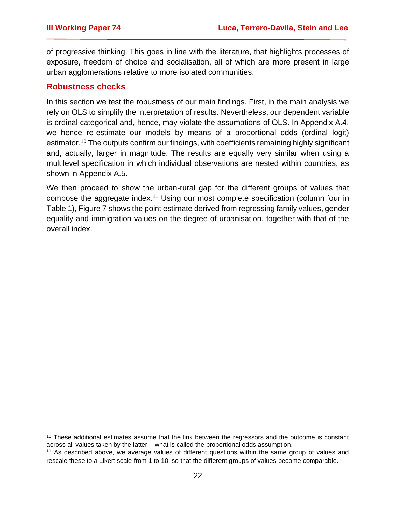of progressive thinking. This goes in line with the literature, that highlights processes of exposure, freedom of choice and socialisation, all of which are more present in large urban agglomerations relative to more isolated communities.

#### **Robustness checks**

In this section we test the robustness of our main findings. First, in the main analysis we rely on OLS to simplify the interpretation of results. Nevertheless, our dependent variable is ordinal categorical and, hence, may violate the assumptions of OLS. In Appendix A.4, we hence re-estimate our models by means of a proportional odds (ordinal logit) estimator.<sup>10</sup> The outputs confirm our findings, with coefficients remaining highly significant and, actually, larger in magnitude. The results are equally very similar when using a multilevel specification in which individual observations are nested within countries, as shown in Appendix A.5.

We then proceed to show the urban-rural gap for the different groups of values that compose the aggregate index.<sup>11</sup> Using our most complete specification (column four in Table 1), Figure 7 shows the point estimate derived from regressing family values, gender equality and immigration values on the degree of urbanisation, together with that of the overall index.

 $10$  These additional estimates assume that the link between the regressors and the outcome is constant across all values taken by the latter – what is called the proportional odds assumption.

<sup>&</sup>lt;sup>11</sup> As described above, we average values of different questions within the same group of values and rescale these to a Likert scale from 1 to 10, so that the different groups of values become comparable.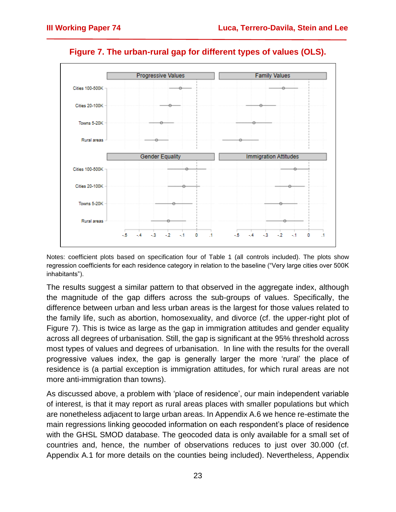

**Figure 7. The urban-rural gap for different types of values (OLS).**

Notes: coefficient plots based on specification four of Table 1 (all controls included). The plots show regression coefficients for each residence category in relation to the baseline ("Very large cities over 500K inhabitants").

The results suggest a similar pattern to that observed in the aggregate index, although the magnitude of the gap differs across the sub-groups of values. Specifically, the difference between urban and less urban areas is the largest for those values related to the family life, such as abortion, homosexuality, and divorce (cf. the upper-right plot of Figure 7). This is twice as large as the gap in immigration attitudes and gender equality across all degrees of urbanisation. Still, the gap is significant at the 95% threshold across most types of values and degrees of urbanisation. In line with the results for the overall progressive values index, the gap is generally larger the more 'rural' the place of residence is (a partial exception is immigration attitudes, for which rural areas are not more anti-immigration than towns).

As discussed above, a problem with 'place of residence', our main independent variable of interest, is that it may report as rural areas places with smaller populations but which are nonetheless adjacent to large urban areas. In Appendix A.6 we hence re-estimate the main regressions linking geocoded information on each respondent's place of residence with the GHSL SMOD database. The geocoded data is only available for a small set of countries and, hence, the number of observations reduces to just over 30.000 (cf. Appendix A.1 for more details on the counties being included). Nevertheless, Appendix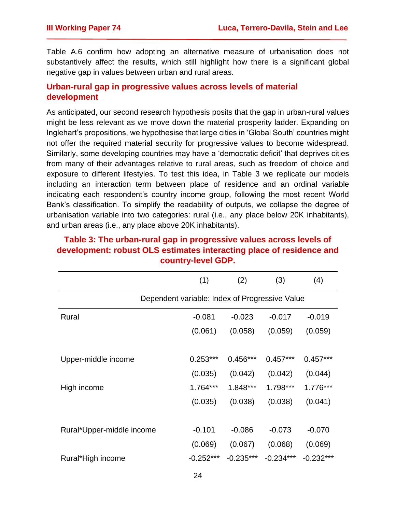Table A.6 confirm how adopting an alternative measure of urbanisation does not substantively affect the results, which still highlight how there is a significant global negative gap in values between urban and rural areas.

#### **Urban-rural gap in progressive values across levels of material development**

As anticipated, our second research hypothesis posits that the gap in urban-rural values might be less relevant as we move down the material prosperity ladder. Expanding on Inglehart's propositions, we hypothesise that large cities in 'Global South' countries might not offer the required material security for progressive values to become widespread. Similarly, some developing countries may have a 'democratic deficit' that deprives cities from many of their advantages relative to rural areas, such as freedom of choice and exposure to different lifestyles. To test this idea, in Table 3 we replicate our models including an interaction term between place of residence and an ordinal variable indicating each respondent's country income group, following the most recent World Bank's classification. To simplify the readability of outputs, we collapse the degree of urbanisation variable into two categories: rural (i.e., any place below 20K inhabitants), and urban areas (i.e., any place above 20K inhabitants).

|                                                | (1)         | (2)         | (3)         | (4)         |  |  |  |
|------------------------------------------------|-------------|-------------|-------------|-------------|--|--|--|
| Dependent variable: Index of Progressive Value |             |             |             |             |  |  |  |
| Rural                                          | $-0.081$    | $-0.023$    | $-0.017$    | $-0.019$    |  |  |  |
|                                                | (0.061)     | (0.058)     | (0.059)     | (0.059)     |  |  |  |
|                                                |             |             |             |             |  |  |  |
| Upper-middle income                            | $0.253***$  | $0.456***$  | $0.457***$  | $0.457***$  |  |  |  |
|                                                | (0.035)     | (0.042)     | (0.042)     | (0.044)     |  |  |  |
| High income                                    | 1.764***    | 1.848***    | 1.798***    | 1.776***    |  |  |  |
|                                                | (0.035)     | (0.038)     | (0.038)     | (0.041)     |  |  |  |
|                                                |             |             |             |             |  |  |  |
| Rural*Upper-middle income                      | $-0.101$    | $-0.086$    | $-0.073$    | $-0.070$    |  |  |  |
|                                                | (0.069)     | (0.067)     | (0.068)     | (0.069)     |  |  |  |
| Rural*High income                              | $-0.252***$ | $-0.235***$ | $-0.234***$ | $-0.232***$ |  |  |  |

#### **country-level GDP.**

**Table 3: The urban-rural gap in progressive values across levels of development: robust OLS estimates interacting place of residence and**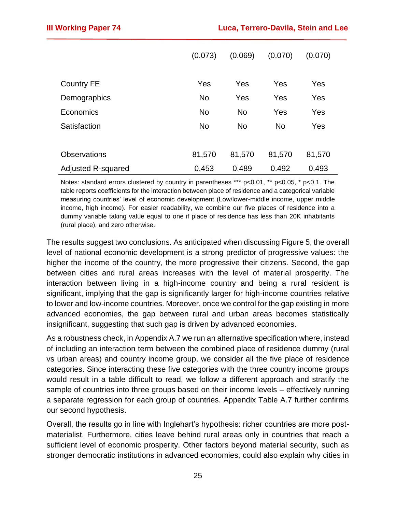|                           | (0.073)   | (0.069)   | (0.070)   | (0.070) |
|---------------------------|-----------|-----------|-----------|---------|
| <b>Country FE</b>         | Yes       | Yes       | Yes       | Yes     |
| Demographics              | <b>No</b> | Yes       | Yes       | Yes     |
| Economics                 | <b>No</b> | <b>No</b> | Yes       | Yes     |
| Satisfaction              | <b>No</b> | <b>No</b> | <b>No</b> | Yes     |
|                           |           |           |           |         |
| <b>Observations</b>       | 81,570    | 81,570    | 81,570    | 81,570  |
| <b>Adjusted R-squared</b> | 0.453     | 0.489     | 0.492     | 0.493   |

Notes: standard errors clustered by country in parentheses \*\*\*  $p<0.01$ , \*\*  $p<0.05$ , \*  $p<0.1$ . The table reports coefficients for the interaction between place of residence and a categorical variable measuring countries' level of economic development (Low/lower-middle income, upper middle income, high income). For easier readability, we combine our five places of residence into a dummy variable taking value equal to one if place of residence has less than 20K inhabitants (rural place), and zero otherwise.

The results suggest two conclusions. As anticipated when discussing Figure 5, the overall level of national economic development is a strong predictor of progressive values: the higher the income of the country, the more progressive their citizens. Second, the gap between cities and rural areas increases with the level of material prosperity. The interaction between living in a high-income country and being a rural resident is significant, implying that the gap is significantly larger for high-income countries relative to lower and low-income countries. Moreover, once we control for the gap existing in more advanced economies, the gap between rural and urban areas becomes statistically insignificant, suggesting that such gap is driven by advanced economies.

As a robustness check, in Appendix A.7 we run an alternative specification where, instead of including an interaction term between the combined place of residence dummy (rural vs urban areas) and country income group, we consider all the five place of residence categories. Since interacting these five categories with the three country income groups would result in a table difficult to read, we follow a different approach and stratify the sample of countries into three groups based on their income levels – effectively running a separate regression for each group of countries. Appendix Table A.7 further confirms our second hypothesis.

Overall, the results go in line with Inglehart's hypothesis: richer countries are more postmaterialist. Furthermore, cities leave behind rural areas only in countries that reach a sufficient level of economic prosperity. Other factors beyond material security, such as stronger democratic institutions in advanced economies, could also explain why cities in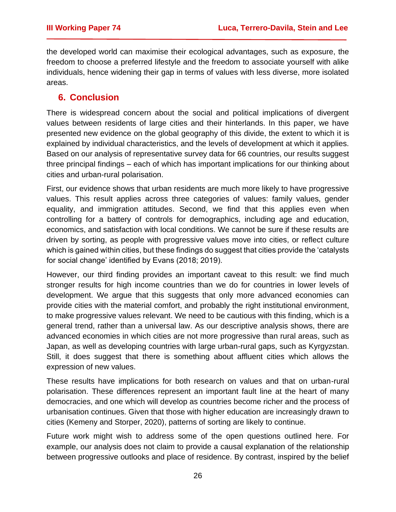the developed world can maximise their ecological advantages, such as exposure, the freedom to choose a preferred lifestyle and the freedom to associate yourself with alike individuals, hence widening their gap in terms of values with less diverse, more isolated areas.

## **6. Conclusion**

There is widespread concern about the social and political implications of divergent values between residents of large cities and their hinterlands. In this paper, we have presented new evidence on the global geography of this divide, the extent to which it is explained by individual characteristics, and the levels of development at which it applies. Based on our analysis of representative survey data for 66 countries, our results suggest three principal findings – each of which has important implications for our thinking about cities and urban-rural polarisation.

First, our evidence shows that urban residents are much more likely to have progressive values. This result applies across three categories of values: family values, gender equality, and immigration attitudes. Second, we find that this applies even when controlling for a battery of controls for demographics, including age and education, economics, and satisfaction with local conditions. We cannot be sure if these results are driven by sorting, as people with progressive values move into cities, or reflect culture which is gained within cities, but these findings do suggest that cities provide the 'catalysts for social change' identified by Evans (2018; 2019).

However, our third finding provides an important caveat to this result: we find much stronger results for high income countries than we do for countries in lower levels of development. We argue that this suggests that only more advanced economies can provide cities with the material comfort, and probably the right institutional environment, to make progressive values relevant. We need to be cautious with this finding, which is a general trend, rather than a universal law. As our descriptive analysis shows, there are advanced economies in which cities are not more progressive than rural areas, such as Japan, as well as developing countries with large urban-rural gaps, such as Kyrgyzstan. Still, it does suggest that there is something about affluent cities which allows the expression of new values.

These results have implications for both research on values and that on urban-rural polarisation. These differences represent an important fault line at the heart of many democracies, and one which will develop as countries become richer and the process of urbanisation continues. Given that those with higher education are increasingly drawn to cities (Kemeny and Storper, 2020), patterns of sorting are likely to continue.

Future work might wish to address some of the open questions outlined here. For example, our analysis does not claim to provide a causal explanation of the relationship between progressive outlooks and place of residence. By contrast, inspired by the belief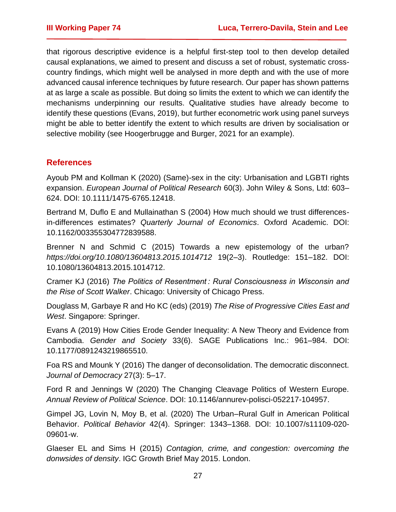that rigorous descriptive evidence is a helpful first-step tool to then develop detailed causal explanations, we aimed to present and discuss a set of robust, systematic crosscountry findings, which might well be analysed in more depth and with the use of more advanced causal inference techniques by future research. Our paper has shown patterns at as large a scale as possible. But doing so limits the extent to which we can identify the mechanisms underpinning our results. Qualitative studies have already become to identify these questions (Evans, 2019), but further econometric work using panel surveys might be able to better identify the extent to which results are driven by socialisation or selective mobility (see Hoogerbrugge and Burger, 2021 for an example).

#### **References**

Ayoub PM and Kollman K (2020) (Same)-sex in the city: Urbanisation and LGBTI rights expansion. *European Journal of Political Research* 60(3). John Wiley & Sons, Ltd: 603– 624. DOI: 10.1111/1475-6765.12418.

Bertrand M, Duflo E and Mullainathan S (2004) How much should we trust differencesin-differences estimates? *Quarterly Journal of Economics*. Oxford Academic. DOI: 10.1162/003355304772839588.

Brenner N and Schmid C (2015) Towards a new epistemology of the urban? *https://doi.org/10.1080/13604813.2015.1014712* 19(2–3). Routledge: 151–182. DOI: 10.1080/13604813.2015.1014712.

Cramer KJ (2016) *The Politics of Resentment : Rural Consciousness in Wisconsin and the Rise of Scott Walker*. Chicago: University of Chicago Press.

Douglass M, Garbaye R and Ho KC (eds) (2019) *The Rise of Progressive Cities East and West*. Singapore: Springer.

Evans A (2019) How Cities Erode Gender Inequality: A New Theory and Evidence from Cambodia. *Gender and Society* 33(6). SAGE Publications Inc.: 961–984. DOI: 10.1177/0891243219865510.

Foa RS and Mounk Y (2016) The danger of deconsolidation. The democratic disconnect. *Journal of Democracy* 27(3): 5–17.

Ford R and Jennings W (2020) The Changing Cleavage Politics of Western Europe. *Annual Review of Political Science*. DOI: 10.1146/annurev-polisci-052217-104957.

Gimpel JG, Lovin N, Moy B, et al. (2020) The Urban–Rural Gulf in American Political Behavior. *Political Behavior* 42(4). Springer: 1343–1368. DOI: 10.1007/s11109-020- 09601-w.

Glaeser EL and Sims H (2015) *Contagion, crime, and congestion: overcoming the donwsides of density*. IGC Growth Brief May 2015. London.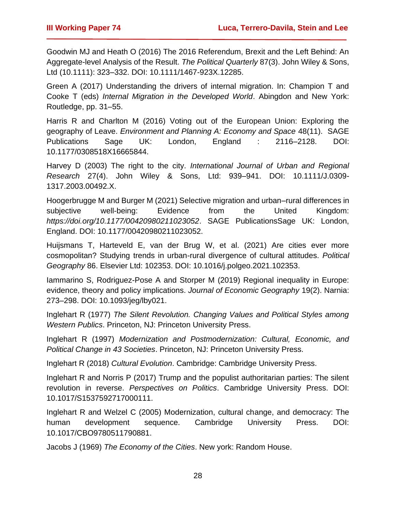Goodwin MJ and Heath O (2016) The 2016 Referendum, Brexit and the Left Behind: An Aggregate-level Analysis of the Result. *The Political Quarterly* 87(3). John Wiley & Sons, Ltd (10.1111): 323–332. DOI: 10.1111/1467-923X.12285.

Green A (2017) Understanding the drivers of internal migration. In: Champion T and Cooke T (eds) *Internal Migration in the Developed World*. Abingdon and New York: Routledge, pp. 31–55.

Harris R and Charlton M (2016) Voting out of the European Union: Exploring the geography of Leave. *Environment and Planning A: Economy and Space* 48(11). SAGE Publications Sage UK: London, England : 2116–2128. DOI: 10.1177/0308518X16665844.

Harvey D (2003) The right to the city. *International Journal of Urban and Regional Research* 27(4). John Wiley & Sons, Ltd: 939–941. DOI: 10.1111/J.0309- 1317.2003.00492.X.

Hoogerbrugge M and Burger M (2021) Selective migration and urban–rural differences in subjective well-being: Evidence from the United Kingdom: *https://doi.org/10.1177/00420980211023052*. SAGE PublicationsSage UK: London, England. DOI: 10.1177/00420980211023052.

Huijsmans T, Harteveld E, van der Brug W, et al. (2021) Are cities ever more cosmopolitan? Studying trends in urban-rural divergence of cultural attitudes. *Political Geography* 86. Elsevier Ltd: 102353. DOI: 10.1016/j.polgeo.2021.102353.

Iammarino S, Rodriguez-Pose A and Storper M (2019) Regional inequality in Europe: evidence, theory and policy implications. *Journal of Economic Geography* 19(2). Narnia: 273–298. DOI: 10.1093/jeg/lby021.

Inglehart R (1977) *The Silent Revolution. Changing Values and Political Styles among Western Publics*. Princeton, NJ: Princeton University Press.

Inglehart R (1997) *Modernization and Postmodernization: Cultural, Economic, and Political Change in 43 Societies*. Princeton, NJ: Princeton University Press.

Inglehart R (2018) *Cultural Evolution*. Cambridge: Cambridge University Press.

Inglehart R and Norris P (2017) Trump and the populist authoritarian parties: The silent revolution in reverse. *Perspectives on Politics*. Cambridge University Press. DOI: 10.1017/S1537592717000111.

Inglehart R and Welzel C (2005) Modernization, cultural change, and democracy: The human development sequence. Cambridge University Press. DOI: 10.1017/CBO9780511790881.

Jacobs J (1969) *The Economy of the Cities*. New york: Random House.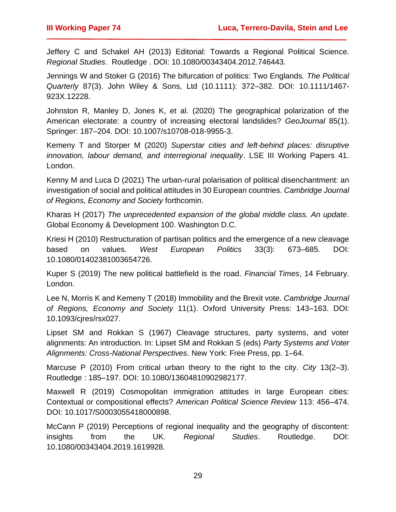Jeffery C and Schakel AH (2013) Editorial: Towards a Regional Political Science. *Regional Studies*. Routledge . DOI: 10.1080/00343404.2012.746443.

Jennings W and Stoker G (2016) The bifurcation of politics: Two Englands. *The Political Quarterly* 87(3). John Wiley & Sons, Ltd (10.1111): 372–382. DOI: 10.1111/1467- 923X.12228.

Johnston R, Manley D, Jones K, et al. (2020) The geographical polarization of the American electorate: a country of increasing electoral landslides? *GeoJournal* 85(1). Springer: 187–204. DOI: 10.1007/s10708-018-9955-3.

Kemeny T and Storper M (2020) *Superstar cities and left-behind places: disruptive innovation, labour demand, and interregional inequality*. LSE III Working Papers 41. London.

Kenny M and Luca D (2021) The urban-rural polarisation of political disenchantment: an investigation of social and political attitudes in 30 European countries. *Cambridge Journal of Regions, Economy and Society* forthcomin.

Kharas H (2017) *The unprecedented expansion of the global middle class. An update*. Global Economy & Development 100. Washington D.C.

Kriesi H (2010) Restructuration of partisan politics and the emergence of a new cleavage based on values. *West European Politics* 33(3): 673–685. DOI: 10.1080/01402381003654726.

Kuper S (2019) The new political battlefield is the road. *Financial Times*, 14 February. London.

Lee N, Morris K and Kemeny T (2018) Immobility and the Brexit vote. *Cambridge Journal of Regions, Economy and Society* 11(1). Oxford University Press: 143–163. DOI: 10.1093/cjres/rsx027.

Lipset SM and Rokkan S (1967) Cleavage structures, party systems, and voter alignments: An introduction. In: Lipset SM and Rokkan S (eds) *Party Systems and Voter Alignments: Cross-National Perspectives*. New York: Free Press, pp. 1–64.

Marcuse P (2010) From critical urban theory to the right to the city. *City* 13(2–3). Routledge : 185–197. DOI: 10.1080/13604810902982177.

Maxwell R (2019) Cosmopolitan immigration attitudes in large European cities: Contextual or compositional effects? *American Political Science Review* 113: 456–474. DOI: 10.1017/S0003055418000898.

McCann P (2019) Perceptions of regional inequality and the geography of discontent: insights from the UK. *Regional Studies*. Routledge. DOI: 10.1080/00343404.2019.1619928.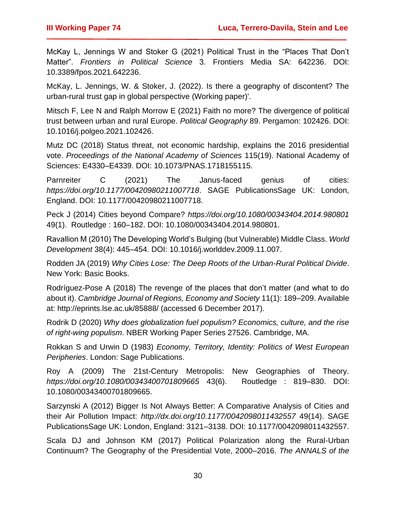McKay L, Jennings W and Stoker G (2021) Political Trust in the "Places That Don't Matter". *Frontiers in Political Science* 3. Frontiers Media SA: 642236. DOI: 10.3389/fpos.2021.642236.

McKay, L. Jennings, W. & Stoker, J. (2022). Is there a geography of discontent? The urban-rural trust gap in global perspective (Working paper)'.

Mitsch F, Lee N and Ralph Morrow E (2021) Faith no more? The divergence of political trust between urban and rural Europe. *Political Geography* 89. Pergamon: 102426. DOI: 10.1016/j.polgeo.2021.102426.

Mutz DC (2018) Status threat, not economic hardship, explains the 2016 presidential vote. *Proceedings of the National Academy of Sciences* 115(19). National Academy of Sciences: E4330–E4339. DOI: 10.1073/PNAS.1718155115.

Parnreiter C (2021) The Janus-faced genius of cities: *https://doi.org/10.1177/00420980211007718*. SAGE PublicationsSage UK: London, England. DOI: 10.1177/00420980211007718.

Peck J (2014) Cities beyond Compare? *https://doi.org/10.1080/00343404.2014.980801* 49(1). Routledge : 160–182. DOI: 10.1080/00343404.2014.980801.

Ravallion M (2010) The Developing World's Bulging (but Vulnerable) Middle Class. *World Development* 38(4): 445–454. DOI: 10.1016/j.worlddev.2009.11.007.

Rodden JA (2019) *Why Cities Lose: The Deep Roots of the Urban-Rural Political Divide*. New York: Basic Books.

Rodríguez-Pose A (2018) The revenge of the places that don't matter (and what to do about it). *Cambridge Journal of Regions, Economy and Society* 11(1): 189–209. Available at: http://eprints.lse.ac.uk/85888/ (accessed 6 December 2017).

Rodrik D (2020) *Why does globalization fuel populism? Economics, culture, and the rise of right-wing populism*. NBER Working Paper Series 27526. Cambridge, MA.

Rokkan S and Urwin D (1983) *Economy, Territory, Identity: Politics of West European Peripheries*. London: Sage Publications.

Roy A (2009) The 21st-Century Metropolis: New Geographies of Theory. *https://doi.org/10.1080/00343400701809665* 43(6). Routledge : 819–830. DOI: 10.1080/00343400701809665.

Sarzynski A (2012) Bigger Is Not Always Better: A Comparative Analysis of Cities and their Air Pollution Impact: *http://dx.doi.org/10.1177/0042098011432557* 49(14). SAGE PublicationsSage UK: London, England: 3121–3138. DOI: 10.1177/0042098011432557.

Scala DJ and Johnson KM (2017) Political Polarization along the Rural-Urban Continuum? The Geography of the Presidential Vote, 2000–2016. *The ANNALS of the*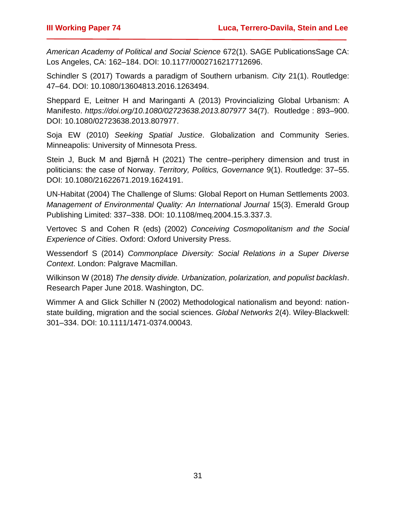*American Academy of Political and Social Science* 672(1). SAGE PublicationsSage CA: Los Angeles, CA: 162–184. DOI: 10.1177/0002716217712696.

Schindler S (2017) Towards a paradigm of Southern urbanism. *City* 21(1). Routledge: 47–64. DOI: 10.1080/13604813.2016.1263494.

Sheppard E, Leitner H and Maringanti A (2013) Provincializing Global Urbanism: A Manifesto. *https://doi.org/10.1080/02723638.2013.807977* 34(7). Routledge : 893–900. DOI: 10.1080/02723638.2013.807977.

Soja EW (2010) *Seeking Spatial Justice*. Globalization and Community Series. Minneapolis: University of Minnesota Press.

Stein J, Buck M and Bjørnå H (2021) The centre–periphery dimension and trust in politicians: the case of Norway. *Territory, Politics, Governance* 9(1). Routledge: 37–55. DOI: 10.1080/21622671.2019.1624191.

UN‐Habitat (2004) The Challenge of Slums: Global Report on Human Settlements 2003. *Management of Environmental Quality: An International Journal* 15(3). Emerald Group Publishing Limited: 337–338. DOI: 10.1108/meq.2004.15.3.337.3.

Vertovec S and Cohen R (eds) (2002) *Conceiving Cosmopolitanism and the Social Experience of Cities*. Oxford: Oxford University Press.

Wessendorf S (2014) *Commonplace Diversity: Social Relations in a Super Diverse Context*. London: Palgrave Macmillan.

Wilkinson W (2018) *The density divide. Urbanization, polarization, and populist backlash*. Research Paper June 2018. Washington, DC.

Wimmer A and Glick Schiller N (2002) Methodological nationalism and beyond: nationstate building, migration and the social sciences. *Global Networks* 2(4). Wiley-Blackwell: 301–334. DOI: 10.1111/1471-0374.00043.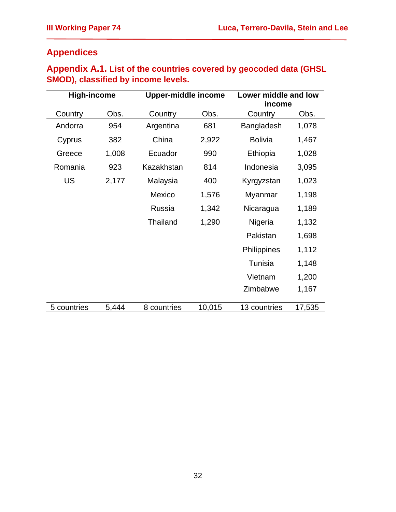# **Appendices**

# **Appendix A.1. List of the countries covered by geocoded data (GHSL SMOD), classified by income levels.**

|             | <b>Upper-middle income</b> |                 | <b>High-income</b> |                | Lower middle and low<br>income |  |
|-------------|----------------------------|-----------------|--------------------|----------------|--------------------------------|--|
| Country     | Obs.                       | Country         | Obs.               | Country        | Obs.                           |  |
| Andorra     | 954                        | Argentina       | 681                | Bangladesh     | 1,078                          |  |
| Cyprus      | 382                        | China           | 2,922              | <b>Bolivia</b> | 1,467                          |  |
| Greece      | 1,008                      | Ecuador         | 990                | Ethiopia       | 1,028                          |  |
| Romania     | 923                        | Kazakhstan      | 814                | Indonesia      | 3,095                          |  |
| <b>US</b>   | 2,177                      | Malaysia        | 400                | Kyrgyzstan     | 1,023                          |  |
|             |                            | Mexico          | 1,576              | Myanmar        | 1,198                          |  |
|             |                            | Russia          | 1,342              | Nicaragua      | 1,189                          |  |
|             |                            | <b>Thailand</b> | 1,290              | Nigeria        | 1,132                          |  |
|             |                            |                 |                    | Pakistan       | 1,698                          |  |
|             |                            |                 |                    | Philippines    | 1,112                          |  |
|             |                            |                 |                    | Tunisia        | 1,148                          |  |
|             |                            |                 |                    | Vietnam        | 1,200                          |  |
|             |                            |                 |                    | Zimbabwe       | 1,167                          |  |
| 5 countries | 5,444                      | 8 countries     | 10,015             | 13 countries   | 17,535                         |  |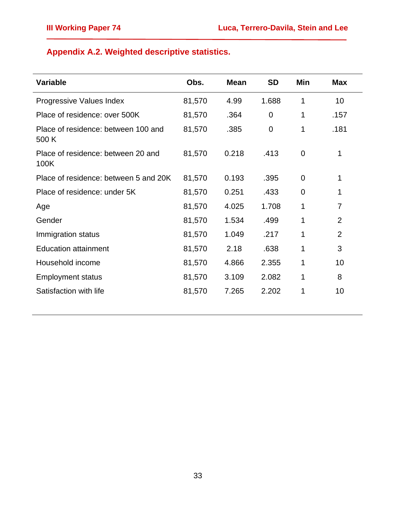# **Appendix A.2. Weighted descriptive statistics.**

| <b>Variable</b>                              | Obs.   | <b>Mean</b> | <b>SD</b>      | Min            | <b>Max</b>     |
|----------------------------------------------|--------|-------------|----------------|----------------|----------------|
| Progressive Values Index                     | 81,570 | 4.99        | 1.688          | 1              | 10             |
| Place of residence: over 500K                | 81,570 | .364        | $\overline{0}$ | 1              | .157           |
| Place of residence: between 100 and<br>500 K | 81,570 | .385        | 0              | 1              | .181           |
| Place of residence: between 20 and<br>100K   | 81,570 | 0.218       | .413           | $\overline{0}$ | 1              |
| Place of residence: between 5 and 20K        | 81,570 | 0.193       | .395           | $\overline{0}$ | 1              |
| Place of residence: under 5K                 | 81,570 | 0.251       | .433           | $\overline{0}$ | 1              |
| Age                                          | 81,570 | 4.025       | 1.708          | 1              | $\overline{7}$ |
| Gender                                       | 81,570 | 1.534       | .499           | 1              | $\overline{2}$ |
| Immigration status                           | 81,570 | 1.049       | .217           | 1              | $\overline{2}$ |
| <b>Education attainment</b>                  | 81,570 | 2.18        | .638           | 1              | 3              |
| Household income                             | 81,570 | 4.866       | 2.355          | 1              | 10             |
| <b>Employment status</b>                     | 81,570 | 3.109       | 2.082          | 1              | 8              |
| Satisfaction with life                       | 81,570 | 7.265       | 2.202          | 1              | 10             |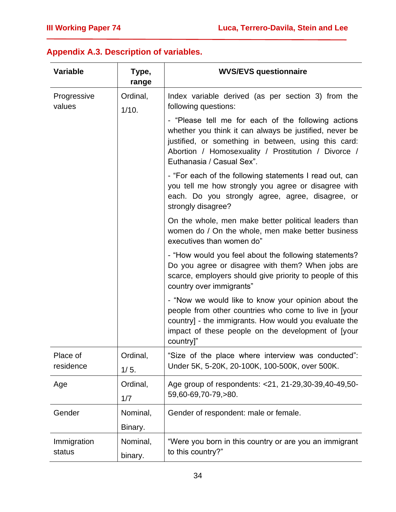# **Appendix A.3. Description of variables.**

| <b>Variable</b>       | Type,<br>range    | <b>WVS/EVS questionnaire</b>                                                                                                                                                                                                                              |
|-----------------------|-------------------|-----------------------------------------------------------------------------------------------------------------------------------------------------------------------------------------------------------------------------------------------------------|
| Progressive<br>values | Ordinal,<br>1/10. | Index variable derived (as per section 3) from the<br>following questions:                                                                                                                                                                                |
|                       |                   | - "Please tell me for each of the following actions<br>whether you think it can always be justified, never be<br>justified, or something in between, using this card:<br>Abortion / Homosexuality / Prostitution / Divorce /<br>Euthanasia / Casual Sex". |
|                       |                   | - "For each of the following statements I read out, can<br>you tell me how strongly you agree or disagree with<br>each. Do you strongly agree, agree, disagree, or<br>strongly disagree?                                                                  |
|                       |                   | On the whole, men make better political leaders than<br>women do / On the whole, men make better business<br>executives than women do"                                                                                                                    |
|                       |                   | - "How would you feel about the following statements?<br>Do you agree or disagree with them? When jobs are<br>scarce, employers should give priority to people of this<br>country over immigrants"                                                        |
|                       |                   | - "Now we would like to know your opinion about the<br>people from other countries who come to live in [your<br>country] - the immigrants. How would you evaluate the<br>impact of these people on the development of [your<br>country]"                  |
| Place of<br>residence | Ordinal,<br>1/5.  | "Size of the place where interview was conducted":<br>Under 5K, 5-20K, 20-100K, 100-500K, over 500K.                                                                                                                                                      |
| Age                   | Ordinal,          | Age group of respondents: <21, 21-29,30-39,40-49,50-                                                                                                                                                                                                      |
|                       | 1/7               | 59,60-69,70-79,>80.                                                                                                                                                                                                                                       |
| Gender                | Nominal,          | Gender of respondent: male or female.                                                                                                                                                                                                                     |
|                       | Binary.           |                                                                                                                                                                                                                                                           |
| Immigration           | Nominal,          | "Were you born in this country or are you an immigrant                                                                                                                                                                                                    |
| status                | binary.           | to this country?"                                                                                                                                                                                                                                         |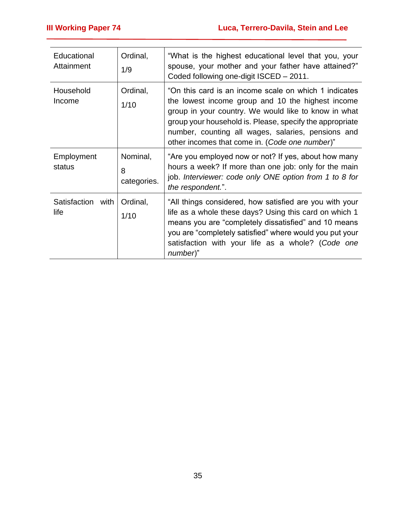| Educational<br>Attainment | Ordinal,<br>1/9              | "What is the highest educational level that you, your<br>spouse, your mother and your father have attained?"<br>Coded following one-digit ISCED - 2011.                                                                                                                                                                                |
|---------------------------|------------------------------|----------------------------------------------------------------------------------------------------------------------------------------------------------------------------------------------------------------------------------------------------------------------------------------------------------------------------------------|
| Household<br>Income       | Ordinal,<br>1/10             | "On this card is an income scale on which 1 indicates<br>the lowest income group and 10 the highest income<br>group in your country. We would like to know in what<br>group your household is. Please, specify the appropriate<br>number, counting all wages, salaries, pensions and<br>other incomes that come in. (Code one number)" |
| Employment<br>status      | Nominal,<br>8<br>categories. | "Are you employed now or not? If yes, about how many<br>hours a week? If more than one job: only for the main<br>job. Interviewer: code only ONE option from 1 to 8 for<br>the respondent.".                                                                                                                                           |
| Satisfaction with<br>life | Ordinal,<br>1/10             | "All things considered, how satisfied are you with your<br>life as a whole these days? Using this card on which 1<br>means you are "completely dissatisfied" and 10 means<br>you are "completely satisfied" where would you put your<br>satisfaction with your life as a whole? (Code one<br>number)"                                  |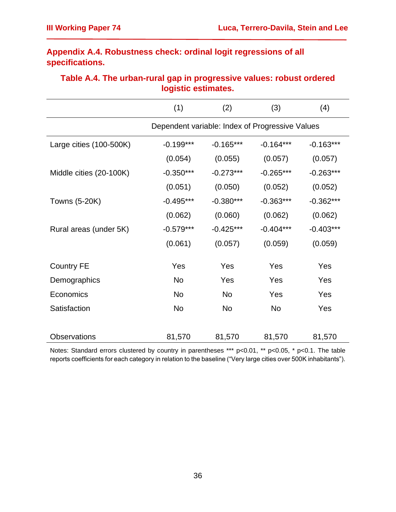| ivgivuv volimatool      |                                                 |             |             |             |  |  |
|-------------------------|-------------------------------------------------|-------------|-------------|-------------|--|--|
|                         | (1)                                             | (2)         | (3)         | (4)         |  |  |
|                         | Dependent variable: Index of Progressive Values |             |             |             |  |  |
| Large cities (100-500K) | $-0.199***$                                     | $-0.165***$ | $-0.164***$ | $-0.163***$ |  |  |
|                         | (0.054)                                         | (0.055)     | (0.057)     | (0.057)     |  |  |
| Middle cities (20-100K) | $-0.350***$                                     | $-0.273***$ | $-0.265***$ | $-0.263***$ |  |  |
|                         | (0.051)                                         | (0.050)     | (0.052)     | (0.052)     |  |  |
| <b>Towns (5-20K)</b>    | $-0.495***$                                     | $-0.380***$ | $-0.363***$ | $-0.362***$ |  |  |
|                         | (0.062)                                         | (0.060)     | (0.062)     | (0.062)     |  |  |
| Rural areas (under 5K)  | $-0.579***$                                     | $-0.425***$ | $-0.404***$ | $-0.403***$ |  |  |
|                         | (0.061)                                         | (0.057)     | (0.059)     | (0.059)     |  |  |
| <b>Country FE</b>       | Yes                                             | Yes         | Yes         | Yes         |  |  |
| Demographics            | <b>No</b>                                       | Yes         | Yes         | Yes         |  |  |
| Economics               | <b>No</b>                                       | <b>No</b>   | Yes         | Yes         |  |  |
| Satisfaction            | <b>No</b>                                       | <b>No</b>   | <b>No</b>   | Yes         |  |  |
| <b>Observations</b>     | 81,570                                          | 81,570      | 81,570      | 81,570      |  |  |

# **Appendix A.4. Robustness check: ordinal logit regressions of all specifications.**

**Table A.4. The urban-rural gap in progressive values: robust ordered logistic estimates.**

Notes: Standard errors clustered by country in parentheses \*\*\* p<0.01, \*\* p<0.05, \* p<0.1. The table reports coefficients for each category in relation to the baseline ("Very large cities over 500K inhabitants").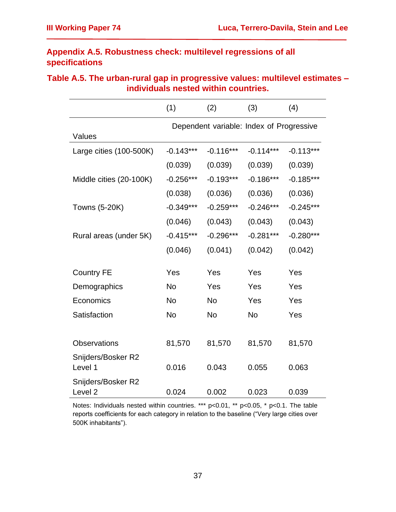# **Appendix A.5. Robustness check: multilevel regressions of all specifications**

## **Table A.5. The urban-rural gap in progressive values: multilevel estimates – individuals nested within countries.**

|                                          | (1)         | (2)                                      | (3)         | (4)         |
|------------------------------------------|-------------|------------------------------------------|-------------|-------------|
|                                          |             | Dependent variable: Index of Progressive |             |             |
| Values                                   |             |                                          |             |             |
| Large cities (100-500K)                  | $-0.143***$ | $-0.116***$                              | $-0.114***$ | $-0.113***$ |
|                                          | (0.039)     | (0.039)                                  | (0.039)     | (0.039)     |
| Middle cities (20-100K)                  | $-0.256***$ | $-0.193***$                              | $-0.186***$ | $-0.185***$ |
|                                          | (0.038)     | (0.036)                                  | (0.036)     | (0.036)     |
| <b>Towns (5-20K)</b>                     | $-0.349***$ | $-0.259***$                              | $-0.246***$ | $-0.245***$ |
|                                          | (0.046)     | (0.043)                                  | (0.043)     | (0.043)     |
| Rural areas (under 5K)                   | $-0.415***$ | $-0.296***$                              | $-0.281***$ | $-0.280***$ |
|                                          | (0.046)     | (0.041)                                  | (0.042)     | (0.042)     |
| <b>Country FE</b>                        | Yes         | Yes                                      | Yes         | Yes         |
| Demographics                             | <b>No</b>   | Yes                                      | Yes         | Yes         |
| Economics                                | <b>No</b>   | <b>No</b>                                | Yes         | Yes         |
| Satisfaction                             | <b>No</b>   | <b>No</b>                                | <b>No</b>   | Yes         |
|                                          |             |                                          |             |             |
| <b>Observations</b>                      | 81,570      | 81,570                                   | 81,570      | 81,570      |
| Snijders/Bosker R2<br>Level 1            | 0.016       | 0.043                                    | 0.055       | 0.063       |
| Snijders/Bosker R2<br>Level <sub>2</sub> | 0.024       | 0.002                                    | 0.023       | 0.039       |

Notes: Individuals nested within countries. \*\*\* p<0.01, \*\* p<0.05, \* p<0.1. The table reports coefficients for each category in relation to the baseline ("Very large cities over 500K inhabitants").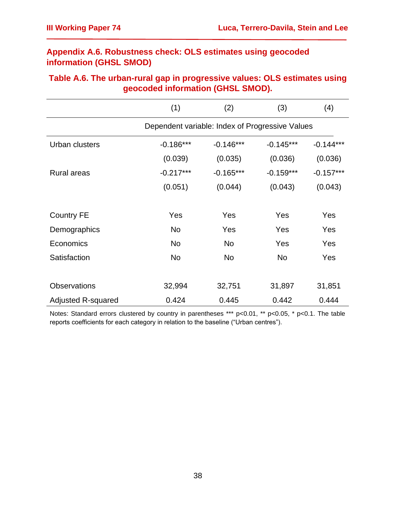# **Appendix A.6. Robustness check: OLS estimates using geocoded information (GHSL SMOD)**

**Table A.6. The urban-rural gap in progressive values: OLS estimates using geocoded information (GHSL SMOD).**

|                           | (1)                                             | (2)         | (3)            | (4)         |  |  |
|---------------------------|-------------------------------------------------|-------------|----------------|-------------|--|--|
|                           | Dependent variable: Index of Progressive Values |             |                |             |  |  |
| Urban clusters            | $-0.186***$                                     | $-0.146***$ | $-0.145***$    | $-0.144***$ |  |  |
|                           | (0.039)                                         | (0.035)     | (0.036)        | (0.036)     |  |  |
| <b>Rural areas</b>        | $-0.217***$                                     | $-0.165***$ | $-0.159***$    | $-0.157***$ |  |  |
|                           | (0.051)                                         | (0.044)     | (0.043)        | (0.043)     |  |  |
|                           |                                                 |             |                |             |  |  |
| <b>Country FE</b>         | Yes                                             | Yes         | Yes            | Yes         |  |  |
| Demographics              | <b>No</b>                                       | Yes         | Yes            | Yes         |  |  |
| Economics                 | No                                              | <b>No</b>   | Yes            | Yes         |  |  |
| Satisfaction              | No                                              | <b>No</b>   | N <sub>o</sub> | Yes         |  |  |
|                           |                                                 |             |                |             |  |  |
| <b>Observations</b>       | 32,994                                          | 32,751      | 31,897         | 31,851      |  |  |
| <b>Adjusted R-squared</b> | 0.424                                           | 0.445       | 0.442          | 0.444       |  |  |

Notes: Standard errors clustered by country in parentheses \*\*\* p<0.01, \*\* p<0.05, \* p<0.1. The table reports coefficients for each category in relation to the baseline ("Urban centres").